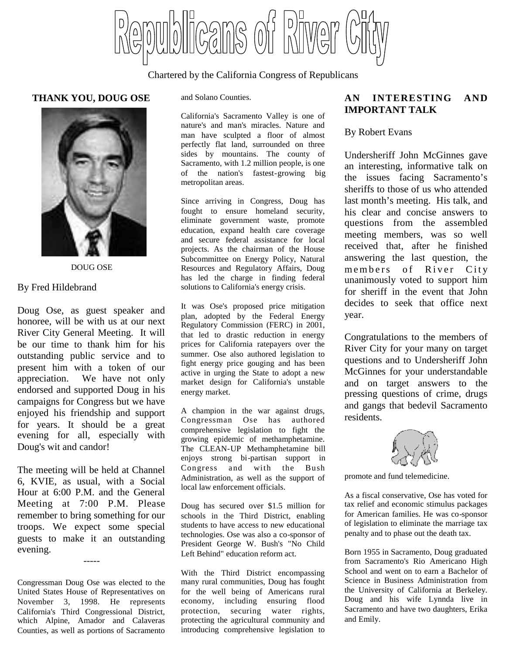Cans of bilwe

### Chartered by the California Congress of Republicans

#### **THANK YOU, DOUG OSE**



DOUG OSE

#### By Fred Hildebrand

Doug Ose, as guest speaker and honoree, will be with us at our next River City General Meeting. It will be our time to thank him for his outstanding public service and to present him with a token of our appreciation. We have not only endorsed and supported Doug in his campaigns for Congress but we have enjoyed his friendship and support for years. It should be a great evening for all, especially with Doug's wit and candor!

The meeting will be held at Channel 6, KVIE, as usual, with a Social Hour at 6:00 P.M. and the General Meeting at 7:00 P.M. Please remember to bring something for our troops. We expect some special guests to make it an outstanding evening.

Congressman Doug Ose was elected to the United States House of Representatives on November 3, 1998. He represents California's Third Congressional District, which Alpine, Amador and Calaveras Counties, as well as portions of Sacramento

-----

and Solano Counties.

California's Sacramento Valley is one of nature's and man's miracles. Nature and man have sculpted a floor of almost perfectly flat land, surrounded on three sides by mountains. The county of Sacramento, with 1.2 million people, is one of the nation's fastest-growing big metropolitan areas.

Since arriving in Congress, Doug has fought to ensure homeland security, eliminate government waste, promote education, expand health care coverage and secure federal assistance for local projects. As the chairman of the House Subcommittee on Energy Policy, Natural Resources and Regulatory Affairs, Doug has led the charge in finding federal solutions to California's energy crisis.

It was Ose's proposed price mitigation plan, adopted by the Federal Energy Regulatory Commission (FERC) in 2001, that led to drastic reduction in energy prices for California ratepayers over the summer. Ose also authored legislation to fight energy price gouging and has been active in urging the State to adopt a new market design for California's unstable energy market.

A champion in the war against drugs, Congressman Ose has authored comprehensive legislation to fight the growing epidemic of methamphetamine. The CLEAN-UP Methamphetamine bill enjoys strong bi-partisan support in Congress and with the Bush Administration, as well as the support of local law enforcement officials.

Doug has secured over \$1.5 million for schools in the Third District, enabling students to have access to new educational technologies. Ose was also a co-sponsor of President George W. Bush's "No Child Left Behind" education reform act.

With the Third District encompassing many rural communities, Doug has fought for the well being of Americans rural economy, including ensuring flood protection, securing water rights, protecting the agricultural community and introducing comprehensive legislation to

## **AN INTERESTING AND IMPORTANT TALK**

#### By Robert Evans

Undersheriff John McGinnes gave an interesting, informative talk on the issues facing Sacramento's sheriffs to those of us who attended last month's meeting. His talk, and his clear and concise answers to questions from the assembled meeting members, was so well received that, after he finished answering the last question, the members of River City unanimously voted to support him for sheriff in the event that John decides to seek that office next year.

Congratulations to the members of River City for your many on target questions and to Undersheriff John McGinnes for your understandable and on target answers to the pressing questions of crime, drugs and gangs that bedevil Sacramento residents.

promote and fund telemedicine.

As a fiscal conservative, Ose has voted for tax relief and economic stimulus packages for American families. He was co-sponsor of legislation to eliminate the marriage tax penalty and to phase out the death tax.

Born 1955 in Sacramento, Doug graduated from Sacramento's Rio Americano High School and went on to earn a Bachelor of Science in Business Administration from the University of California at Berkeley. Doug and his wife Lynnda live in Sacramento and have two daughters, Erika and Emily.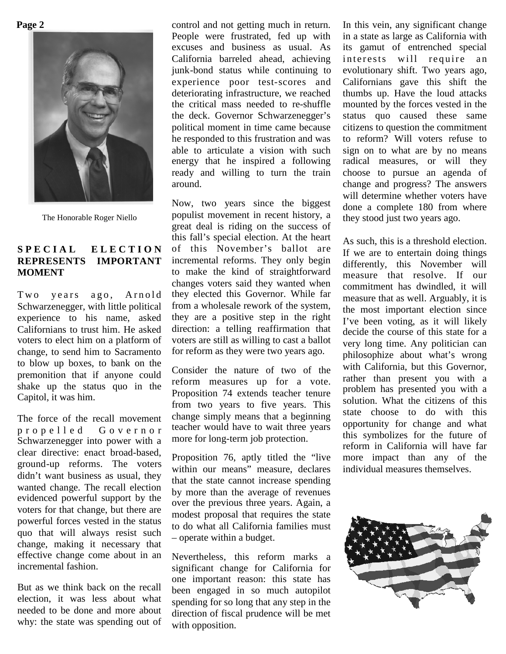**Page 2**



The Honorable Roger Niello

# SPECIAL ELECTION **REPRESENTS IMPORTANT MOMENT**

Two years ago, Arnold Schwarzenegger, with little political experience to his name, asked Californians to trust him. He asked voters to elect him on a platform of change, to send him to Sacramento to blow up boxes, to bank on the premonition that if anyone could shake up the status quo in the Capitol, it was him.

The force of the recall movement p r o p e l l e d G o v e r n o r Schwarzenegger into power with a clear directive: enact broad-based, ground-up reforms. The voters didn't want business as usual, they wanted change. The recall election evidenced powerful support by the voters for that change, but there are powerful forces vested in the status quo that will always resist such change, making it necessary that effective change come about in an incremental fashion.

But as we think back on the recall election, it was less about what needed to be done and more about why: the state was spending out of control and not getting much in return. People were frustrated, fed up with excuses and business as usual. As California barreled ahead, achieving junk-bond status while continuing to experience poor test-scores and deteriorating infrastructure, we reached the critical mass needed to re-shuffle the deck. Governor Schwarzenegger's political moment in time came because he responded to this frustration and was able to articulate a vision with such energy that he inspired a following ready and willing to turn the train around.

Now, two years since the biggest populist movement in recent history, a great deal is riding on the success of this fall's special election. At the heart of this November's ballot are incremental reforms. They only begin to make the kind of straightforward changes voters said they wanted when they elected this Governor. While far from a wholesale rework of the system, they are a positive step in the right direction: a telling reaffirmation that voters are still as willing to cast a ballot for reform as they were two years ago.

Consider the nature of two of the reform measures up for a vote. Proposition 74 extends teacher tenure from two years to five years. This change simply means that a beginning teacher would have to wait three years more for long-term job protection.

Proposition 76, aptly titled the "live within our means" measure, declares that the state cannot increase spending by more than the average of revenues over the previous three years. Again, a modest proposal that requires the state to do what all California families must – operate within a budget.

Nevertheless, this reform marks a significant change for California for one important reason: this state has been engaged in so much autopilot spending for so long that any step in the direction of fiscal prudence will be met with opposition.

In this vein, any significant change in a state as large as California with its gamut of entrenched special interests will require an evolutionary shift. Two years ago, Californians gave this shift the thumbs up. Have the loud attacks mounted by the forces vested in the status quo caused these same citizens to question the commitment to reform? Will voters refuse to sign on to what are by no means radical measures, or will they choose to pursue an agenda of change and progress? The answers will determine whether voters have done a complete 180 from where they stood just two years ago.

As such, this is a threshold election. If we are to entertain doing things differently, this November will measure that resolve. If our commitment has dwindled, it will measure that as well. Arguably, it is the most important election since I've been voting, as it will likely decide the course of this state for a very long time. Any politician can philosophize about what's wrong with California, but this Governor, rather than present you with a problem has presented you with a solution. What the citizens of this state choose to do with this opportunity for change and what this symbolizes for the future of reform in California will have far more impact than any of the individual measures themselves.

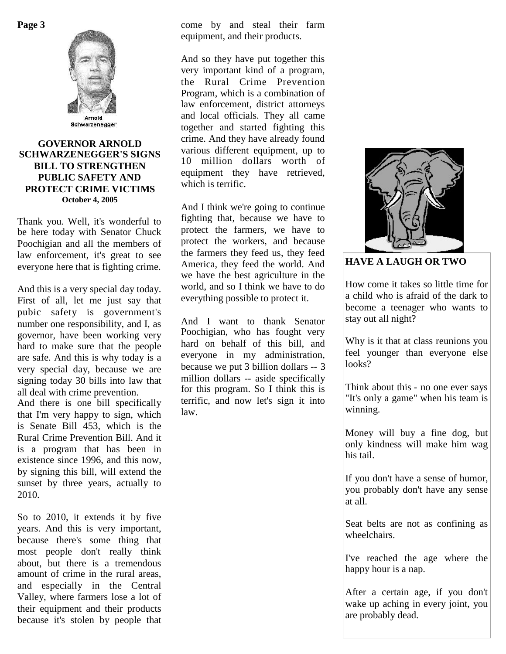

### **GOVERNOR ARNOLD SCHWARZENEGGER'S SIGNS BILL TO STRENGTHEN PUBLIC SAFETY AND PROTECT CRIME VICTIMS October 4, 2005**

Thank you. Well, it's wonderful to be here today with Senator Chuck Poochigian and all the members of law enforcement, it's great to see everyone here that is fighting crime.

And this is a very special day today. First of all, let me just say that pubic safety is government's number one responsibility, and I, as governor, have been working very hard to make sure that the people are safe. And this is why today is a very special day, because we are signing today 30 bills into law that all deal with crime prevention.

And there is one bill specifically that I'm very happy to sign, which is Senate Bill 453, which is the Rural Crime Prevention Bill. And it is a program that has been in existence since 1996, and this now, by signing this bill, will extend the sunset by three years, actually to 2010.

So to 2010, it extends it by five years. And this is very important, because there's some thing that most people don't really think about, but there is a tremendous amount of crime in the rural areas, and especially in the Central Valley, where farmers lose a lot of their equipment and their products because it's stolen by people that come by and steal their farm equipment, and their products.

And so they have put together this very important kind of a program, the Rural Crime Prevention Program, which is a combination of law enforcement, district attorneys and local officials. They all came together and started fighting this crime. And they have already found various different equipment, up to 10 million dollars worth of equipment they have retrieved, which is terrific.

And I think we're going to continue fighting that, because we have to protect the farmers, we have to protect the workers, and because the farmers they feed us, they feed America, they feed the world. And we have the best agriculture in the world, and so I think we have to do everything possible to protect it.

And I want to thank Senator Poochigian, who has fought very hard on behalf of this bill, and everyone in my administration, because we put 3 billion dollars -- 3 million dollars -- aside specifically for this program. So I think this is terrific, and now let's sign it into law.



**HAVE A LAUGH OR TWO**

How come it takes so little time for a child who is afraid of the dark to become a teenager who wants to stay out all night?

Why is it that at class reunions you feel younger than everyone else looks?

Think about this - no one ever says "It's only a game" when his team is winning.

Money will buy a fine dog, but only kindness will make him wag his tail.

If you don't have a sense of humor, you probably don't have any sense at all.

Seat belts are not as confining as wheelchairs.

I've reached the age where the happy hour is a nap.

After a certain age, if you don't wake up aching in every joint, you are probably dead.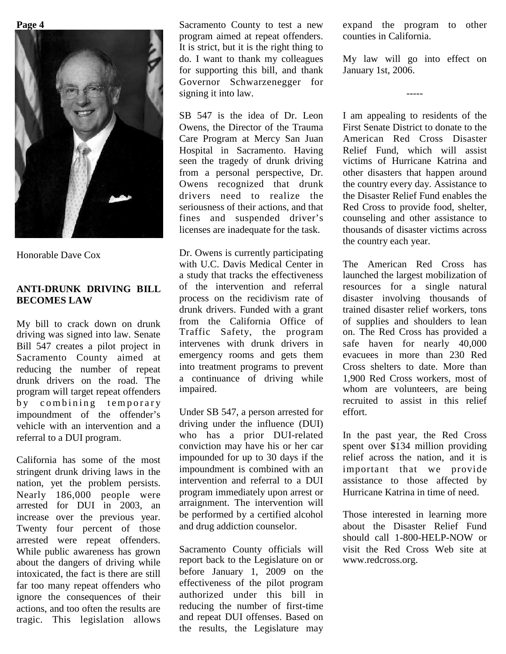

Honorable Dave Cox

# **ANTI-DRUNK DRIVING BILL BECOMES LAW**

My bill to crack down on drunk driving was signed into law. Senate Bill 547 creates a pilot project in Sacramento County aimed at reducing the number of repeat drunk drivers on the road. The program will target repeat offenders by combining temporary impoundment of the offender's vehicle with an intervention and a referral to a DUI program.

California has some of the most stringent drunk driving laws in the nation, yet the problem persists. Nearly 186,000 people were arrested for DUI in 2003, an increase over the previous year. Twenty four percent of those arrested were repeat offenders. While public awareness has grown about the dangers of driving while intoxicated, the fact is there are still far too many repeat offenders who ignore the consequences of their actions, and too often the results are tragic. This legislation allows

Sacramento County to test a new program aimed at repeat offenders. It is strict, but it is the right thing to do. I want to thank my colleagues for supporting this bill, and thank Governor Schwarzenegger for signing it into law.

SB 547 is the idea of Dr. Leon Owens, the Director of the Trauma Care Program at Mercy San Juan Hospital in Sacramento. Having seen the tragedy of drunk driving from a personal perspective, Dr. Owens recognized that drunk drivers need to realize the seriousness of their actions, and that fines and suspended driver's licenses are inadequate for the task.

Dr. Owens is currently participating with U.C. Davis Medical Center in a study that tracks the effectiveness of the intervention and referral process on the recidivism rate of drunk drivers. Funded with a grant from the California Office of Traffic Safety, the program intervenes with drunk drivers in emergency rooms and gets them into treatment programs to prevent a continuance of driving while impaired.

Under SB 547, a person arrested for driving under the influence (DUI) who has a prior DUI-related conviction may have his or her car impounded for up to 30 days if the impoundment is combined with an intervention and referral to a DUI program immediately upon arrest or arraignment. The intervention will be performed by a certified alcohol and drug addiction counselor.

Sacramento County officials will report back to the Legislature on or before January 1, 2009 on the effectiveness of the pilot program authorized under this bill in reducing the number of first-time and repeat DUI offenses. Based on the results, the Legislature may

expand the program to other counties in California.

My law will go into effect on January 1st, 2006.

-----

I am appealing to residents of the First Senate District to donate to the American Red Cross Disaster Relief Fund, which will assist victims of Hurricane Katrina and other disasters that happen around the country every day. Assistance to the Disaster Relief Fund enables the Red Cross to provide food, shelter, counseling and other assistance to thousands of disaster victims across the country each year.

The American Red Cross has launched the largest mobilization of resources for a single natural disaster involving thousands of trained disaster relief workers, tons of supplies and shoulders to lean on. The Red Cross has provided a safe haven for nearly 40,000 evacuees in more than 230 Red Cross shelters to date. More than 1,900 Red Cross workers, most of whom are volunteers, are being recruited to assist in this relief effort.

In the past year, the Red Cross spent over \$134 million providing relief across the nation, and it is important that we provide assistance to those affected by Hurricane Katrina in time of need.

Those interested in learning more about the Disaster Relief Fund should call 1-800-HELP-NOW or visit the Red Cross Web site at www.redcross.org.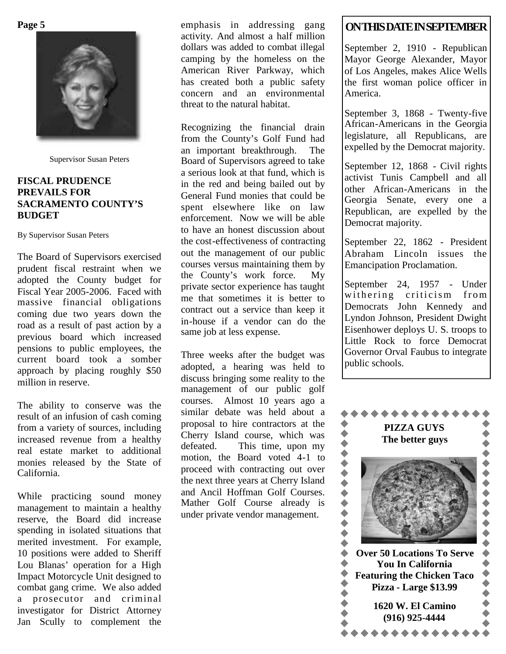

Supervisor Susan Peters

# **FISCAL PRUDENCE PREVAILS FOR SACRAMENTO COUNTY'S BUDGET**

By Supervisor Susan Peters

The Board of Supervisors exercised prudent fiscal restraint when we adopted the County budget for Fiscal Year 2005-2006. Faced with massive financial obligations coming due two years down the road as a result of past action by a previous board which increased pensions to public employees, the current board took a somber approach by placing roughly \$50 million in reserve.

The ability to conserve was the result of an infusion of cash coming from a variety of sources, including increased revenue from a healthy real estate market to additional monies released by the State of California.

While practicing sound money management to maintain a healthy reserve, the Board did increase spending in isolated situations that merited investment. For example, 10 positions were added to Sheriff Lou Blanas' operation for a High Impact Motorcycle Unit designed to combat gang crime. We also added a prosecutor and criminal investigator for District Attorney Jan Scully to complement the emphasis in addressing gang activity. And almost a half million dollars was added to combat illegal camping by the homeless on the American River Parkway, which has created both a public safety concern and an environmental threat to the natural habitat.

Recognizing the financial drain from the County's Golf Fund had an important breakthrough. The Board of Supervisors agreed to take a serious look at that fund, which is in the red and being bailed out by General Fund monies that could be spent elsewhere like on law enforcement. Now we will be able to have an honest discussion about the cost-effectiveness of contracting out the management of our public courses versus maintaining them by the County's work force. My private sector experience has taught me that sometimes it is better to contract out a service than keep it in-house if a vendor can do the same job at less expense.

Three weeks after the budget was adopted, a hearing was held to discuss bringing some reality to the management of our public golf courses. Almost 10 years ago a similar debate was held about a proposal to hire contractors at the Cherry Island course, which was<br>defeated. This time, upon my This time, upon my motion, the Board voted 4-1 to<br>proceed with contracting out over<br>the next three years at Cherry Island<br>and Ancil Hoffman Golf Courses.<br>Mather Golf Course already is<br>under private vendor management. proceed with contracting out over the next three years at Cherry Island and Ancil Hoffman Golf Courses. Mather Golf Course already is under private vendor management.

# **ONTHISDATEINSEPTEMBER**

September 2, 1910 - Republican Mayor George Alexander, Mayor of Los Angeles, makes Alice Wells the first woman police officer in America.

September 3, 1868 - Twenty-five African-Americans in the Georgia legislature, all Republicans, are expelled by the Democrat majority.

September 12, 1868 - Civil rights activist Tunis Campbell and all other African-Americans in the Georgia Senate, every one a Republican, are expelled by the Democrat majority.

September 22, 1862 - President Abraham Lincoln issues the Emancipation Proclamation.

September 24, 1957 - Under withering criticism from Democrats John Kennedy and Lyndon Johnson, President Dwight Eisenhower deploys U. S. troops to Little Rock to force Democrat Governor Orval Faubus to integrate public schools.

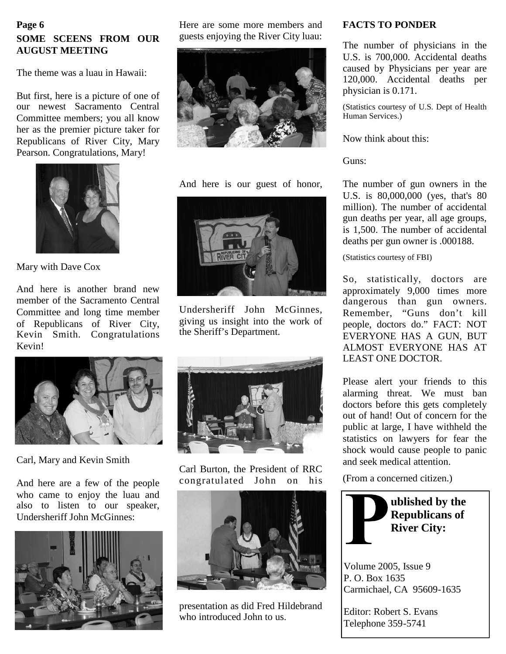# **Page 6 SOME SCEENS FROM OUR AUGUST MEETING**

The theme was a luau in Hawaii:

But first, here is a picture of one of our newest Sacramento Central Committee members; you all know her as the premier picture taker for Republicans of River City, Mary Pearson. Congratulations, Mary!



Mary with Dave Cox

And here is another brand new member of the Sacramento Central Committee and long time member of Republicans of River City, Kevin Smith. Congratulations Kevin!

Here are some more members and guests enjoying the River City luau:



And here is our guest of honor,



Undersheriff John McGinnes, giving us insight into the work of the Sheriff's Department.



Carl, Mary and Kevin Smith

And here are a few of the people who came to enjoy the luau and also to listen to our speaker, Undersheriff John McGinnes:





Carl Burton, the President of RRC congratulated John on his



presentation as did Fred Hildebrand who introduced John to us.

### **FACTS TO PONDER**

The number of physicians in the U.S. is 700,000. Accidental deaths caused by Physicians per year are 120,000. Accidental deaths per physician is 0.171.

(Statistics courtesy of U.S. Dept of Health Human Services.)

Now think about this:

Guns:

The number of gun owners in the U.S. is 80,000,000 (yes, that's 80 million). The number of accidental gun deaths per year, all age groups, is 1,500. The number of accidental deaths per gun owner is .000188.

(Statistics courtesy of FBI)

So, statistically, doctors are approximately 9,000 times more dangerous than gun owners. Remember, "Guns don't kill people, doctors do." FACT: NOT EVERYONE HAS A GUN, BUT ALMOST EVERYONE HAS AT LEAST ONE DOCTOR.

Please alert your friends to this alarming threat. We must ban doctors before this gets completely out of hand! Out of concern for the public at large, I have withheld the statistics on lawyers for fear the shock would cause people to panic and seek medical attention.

(From a concerned citizen.)



Volume 2005, Issue 9 P. O. Box 1635 Carmichael, CA 95609-1635

Editor: Robert S. Evans Telephone 359-5741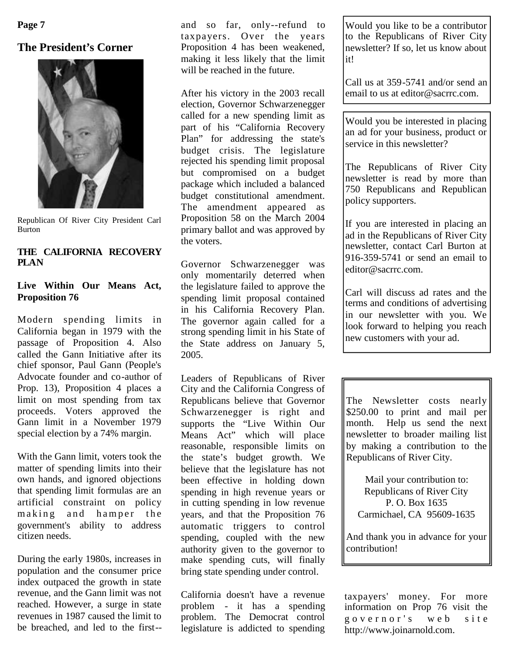# **The President's Corner**



Republican Of River City President Carl Burton

# **THE CALIFORNIA RECOVERY PLAN**

## **Live Within Our Means Act, Proposition 76**

Modern spending limits in California began in 1979 with the passage of Proposition 4. Also called the Gann Initiative after its chief sponsor, Paul Gann (People's Advocate founder and co-author of Prop. 13), Proposition 4 places a limit on most spending from tax proceeds. Voters approved the Gann limit in a November 1979 special election by a 74% margin.

With the Gann limit, voters took the matter of spending limits into their own hands, and ignored objections that spending limit formulas are an artificial constraint on policy making and hamper the government's ability to address citizen needs.

During the early 1980s, increases in population and the consumer price index outpaced the growth in state revenue, and the Gann limit was not reached. However, a surge in state revenues in 1987 caused the limit to be breached, and led to the first-- and so far, only--refund to taxpayers. Over the years Proposition 4 has been weakened, making it less likely that the limit will be reached in the future.

After his victory in the 2003 recall election, Governor Schwarzenegger called for a new spending limit as part of his "California Recovery Plan" for addressing the state's budget crisis. The legislature rejected his spending limit proposal but compromised on a budget package which included a balanced budget constitutional amendment. The amendment appeared as Proposition 58 on the March 2004 primary ballot and was approved by the voters.

Governor Schwarzenegger was only momentarily deterred when the legislature failed to approve the spending limit proposal contained in his California Recovery Plan. The governor again called for a strong spending limit in his State of the State address on January 5, 2005.

Leaders of Republicans of River City and the California Congress of Republicans believe that Governor Schwarzenegger is right and supports the "Live Within Our Means Act" which will place reasonable, responsible limits on the state's budget growth. We believe that the legislature has not been effective in holding down spending in high revenue years or in cutting spending in low revenue years, and that the Proposition 76 automatic triggers to control spending, coupled with the new authority given to the governor to make spending cuts, will finally bring state spending under control.

California doesn't have a revenue problem - it has a spending problem. The Democrat control legislature is addicted to spending

Would you like to be a contributor to the Republicans of River City newsletter? If so, let us know about it!

Call us at 359-5741 and/or send an email to us at editor@sacrrc.com.

Would you be interested in placing an ad for your business, product or service in this newsletter?

The Republicans of River City newsletter is read by more than 750 Republicans and Republican policy supporters.

If you are interested in placing an ad in the Republicans of River City newsletter, contact Carl Burton at 916-359-5741 or send an email to editor@sacrrc.com.

Carl will discuss ad rates and the terms and conditions of advertising in our newsletter with you. We look forward to helping you reach new customers with your ad.

The Newsletter costs nearly \$250.00 to print and mail per month. Help us send the next newsletter to broader mailing list by making a contribution to the Republicans of River City.

Mail your contribution to: Republicans of River City P. O. Box 1635 Carmichael, CA 95609-1635

And thank you in advance for your contribution!

taxpayers' money. For more information on Prop 76 visit the governor's web site http://www.joinarnold.com.